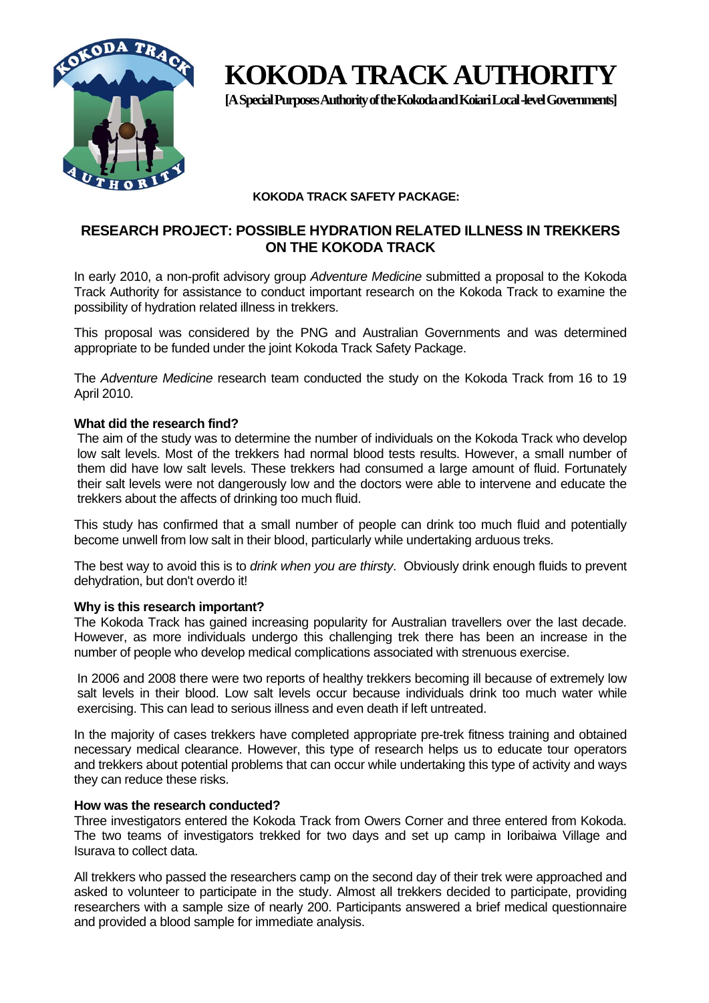

# **KOKODA TRACK AUTHORITY**

**[A Special Purposes Authority of the Kokoda and Koiari Local -level Governments]** 

# **KOKODA TRACK SAFETY PACKAGE:**

# **RESEARCH PROJECT: POSSIBLE HYDRATION RELATED ILLNESS IN TREKKERS ON THE KOKODA TRACK**

In early 2010, a non-profit advisory group *Adventure Medicine* submitted a proposal to the Kokoda Track Authority for assistance to conduct important research on the Kokoda Track to examine the possibility of hydration related illness in trekkers.

This proposal was considered by the PNG and Australian Governments and was determined appropriate to be funded under the joint Kokoda Track Safety Package.

The *Adventure Medicine* research team conducted the study on the Kokoda Track from 16 to 19 April 2010.

#### **What did the research find?**

The aim of the study was to determine the number of individuals on the Kokoda Track who develop low salt levels. Most of the trekkers had normal blood tests results. However, a small number of them did have low salt levels. These trekkers had consumed a large amount of fluid. Fortunately their salt levels were not dangerously low and the doctors were able to intervene and educate the trekkers about the affects of drinking too much fluid.

This study has confirmed that a small number of people can drink too much fluid and potentially become unwell from low salt in their blood, particularly while undertaking arduous treks.

The best way to avoid this is to *drink when you are thirsty*. Obviously drink enough fluids to prevent dehydration, but don't overdo it!

#### **Why is this research important?**

The Kokoda Track has gained increasing popularity for Australian travellers over the last decade. However, as more individuals undergo this challenging trek there has been an increase in the number of people who develop medical complications associated with strenuous exercise.

In 2006 and 2008 there were two reports of healthy trekkers becoming ill because of extremely low salt levels in their blood. Low salt levels occur because individuals drink too much water while exercising. This can lead to serious illness and even death if left untreated.

In the majority of cases trekkers have completed appropriate pre-trek fitness training and obtained necessary medical clearance. However, this type of research helps us to educate tour operators and trekkers about potential problems that can occur while undertaking this type of activity and ways they can reduce these risks.

#### **How was the research conducted?**

Three investigators entered the Kokoda Track from Owers Corner and three entered from Kokoda. The two teams of investigators trekked for two days and set up camp in Ioribaiwa Village and Isurava to collect data.

All trekkers who passed the researchers camp on the second day of their trek were approached and asked to volunteer to participate in the study. Almost all trekkers decided to participate, providing researchers with a sample size of nearly 200. Participants answered a brief medical questionnaire and provided a blood sample for immediate analysis.